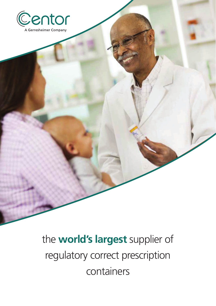

the **world's largest** supplier the **world's largest** supplier of regulatory correct prescription containers containers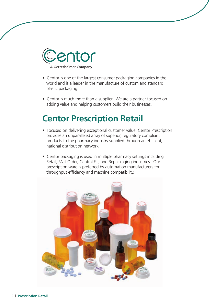

- Centor is one of the largest consumer packaging companies in the extend more than a supplier. We are a partner for a partner for a partner for a partner for a partner for a partner for a partner for a partner for a partner for and helping value and helping value and helping value and he world and is a leader in the manufacture of custom and standard
	- Centor is much more than a supplier. We are a partner focused on adding value and helping customers build their businesses.

## **Centor Prescription Retail**

- **•** Focused on delivering exceptional customer value, Centor Prescription products to the pharmacy industry supplied through an efficient, national distribution network.<br>
national distribution network. provides an unparalleled array of superior, regulatory compliant
- Retail, Mail Order, Central Fill, and Repackaging industries. Our prescription ware is preferred by automation manufacturers for for throughput efficiency and machine compatibility. throughput efficiency and machine compatibility. • Centor packaging is used in multiple pharmacy settings including

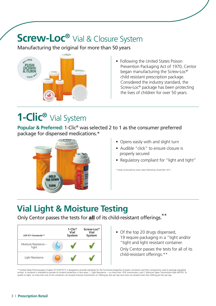## **Screw-Loc<sup>®</sup>** Vial & Closure System

Manufacturing the original for more than 50 years



• Following the United States Poison Prevention Packaging Act of 1970, Centor began manufacturing the Screw-Loc® child resistant prescription package. Considered the industry standard, the Screw-Loc® package has been protecting the lives of children for over 50 years.

## **1-Clic®** Vial System

**Popular & Preferred:** 1-Clic® was selected 2 to 1 as the consumer preferred package for dispensed medications.\*



- Opens easily with and slight turn
- Audible "click" to ensure closure is properly secured
- Regulatory compliant for "light and tight"

\* Study conducted by Great Lakes Marketing, November 2011.

## **Vial Light & Moisture Testing**

Only Centor passes the tests for **all** of its child-resistant offerings.<sup>\*\*</sup>



• Of the top 20 drugs dispensed, 19 require packaging in a "tight and/or "tight and light resistant container.  $\overline{f}$  $\overline{\phantom{a}}$ **TS1 Supplier TS Supplier 5 Supplier** 

Only Centor passes the tests for all of its child-resistant offerings.\*\*

\*\*United States Pharmacopeia Chapter 671(USP 671) is designed to provide standards for the functional properties of plastic containers and their components used to package regulated articles. A container is intended to provide its contents protection in two areas: 1. Light Resistance -– no more than 10% transmission, and 2. Moisture Vapor Transmission Rate (MVTR). To qualify as tight, no more than one of ten containers can exceed moisture transmission of 100mg per liter per day and none can exceed more than 200mg per liter per day.